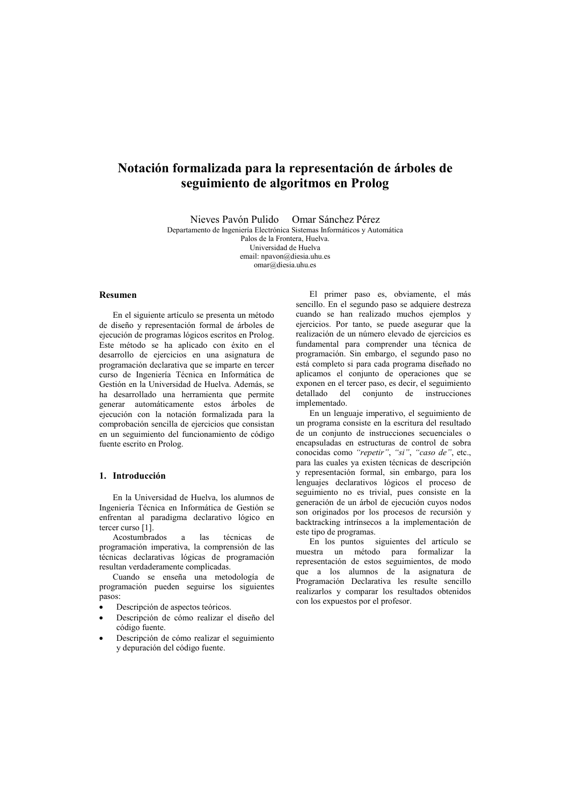# Notación formalizada para la representación de árboles de seguimiento de algoritmos en Prolog

Nieves Pavón Pulido Omar Sánchez Pérez Departamento de Ingeniería Electrónica Sistemas Informáticos y Automática Palos de la Frontera, Huelva.

Universidad de Huelva email: nnavon@diesia uhu es  $omar(\widehat{a})$ diesia.uhu.es

# Resumen

En el siguiente artículo se presenta un método de diseño y representación formal de árboles de ejecución de programas lógicos escritos en Prolog. Este método se ha aplicado con éxito en el desarrollo de ejercicios en una asignatura de programación declarativa que se imparte en tercer curso de Ingeniería Técnica en Informática de Gestión en la Universidad de Huelva. Además, se ha desarrollado una herramienta que permite generar automáticamente estos árboles de ejecución con la notación formalizada para la comprobación sencilla de ejercicios que consistan en un seguimiento del funcionamiento de código fuente escrito en Prolog.

# 1. Introducción

En la Universidad de Huelva, los alumnos de Ingeniería Técnica en Informática de Gestión se enfrentan al paradigma declarativo lógico en tercer curso [1].

técnicas Acostumbrados las  $de$  $\overline{a}$ programación imperativa, la comprensión de las técnicas declarativas lógicas de programación resultan verdaderamente complicadas.

Cuando se enseña una metodología de programación pueden seguirse los siguientes pasos:

- Descripción de aspectos teóricos.
- Descripción de cómo realizar el diseño del código fuente.
- Descripción de cómo realizar el seguimiento y depuración del código fuente.

El primer paso es, obviamente, el más sencillo. En el segundo paso se adquiere destreza cuando se han realizado muchos ejemplos v ejercicios. Por tanto, se puede asegurar que la realización de un número elevado de ejercicios es fundamental para comprender una técnica de programación. Sin embargo, el segundo paso no está completo si para cada programa diseñado no aplicamos el conjunto de operaciones que se exponen en el tercer paso, es decir, el seguimiento detallado del conjunto de instrucciones implementado.

En un lenguaje imperativo, el seguimiento de un programa consiste en la escritura del resultado de un conjunto de instrucciones secuenciales o encapsuladas en estructuras de control de sobra conocidas como "repetir", "si", "caso de", etc., para las cuales va existen técnicas de descripción y representación formal, sin embargo, para los lenguajes declarativos lógicos el proceso de seguimiento no es trivial, pues consiste en la generación de un árbol de ejecución cuyos nodos son originados por los procesos de recursión y backtracking intrínsecos a la implementación de este tipo de programas.

En los puntos siguientes del artículo se muestra un método para formalizar la representación de estos seguimientos, de modo que a los alumnos de la asignatura de Programación Declarativa les resulte sencillo realizarlos y comparar los resultados obtenidos con los expuestos por el profesor.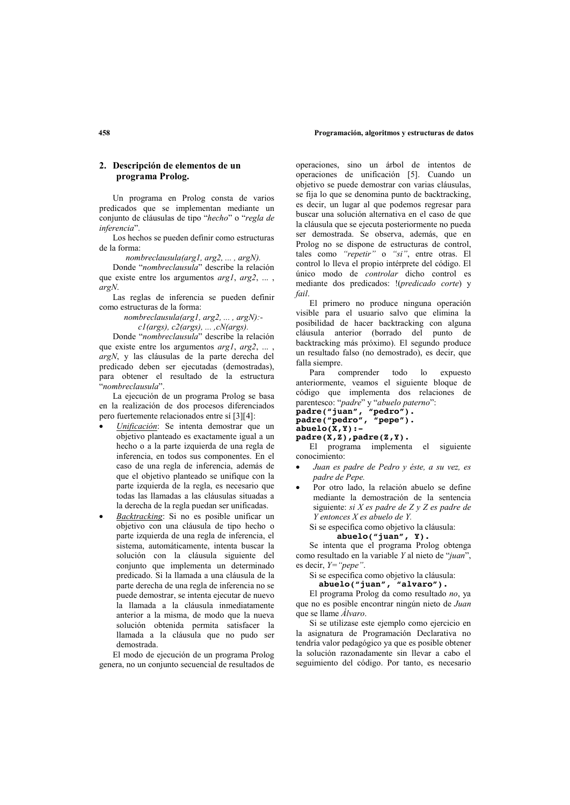#### Programación, algoritmos y estructuras de datos

# 2. Descripción de elementos de un programa Prolog.

Un programa en Prolog consta de varios predicados que se implementan mediante un conjunto de cláusulas de tipo "hecho" o "regla de inferencia".

Los hechos se pueden definir como estructuras de la forma:

nombreclausula(arg1, arg2, ..., argN).

Donde "nombreclausula" describe la relación que existe entre los argumentos  $argl$ ,  $arg2$ , ...,  $argN$ .

Las reglas de inferencia se pueden definir como estructuras de la forma:

nombreclausula(arg1, arg2, ..., argN):-

 $cl(args)$ ,  $c2(args)$ , ...,  $cN(args)$ .

Donde "nombreclausula" describe la relación que existe entre los argumentos *argl*, *arg2*, ... argN, y las cláusulas de la parte derecha del predicado deben ser ejecutadas (demostradas), para obtener el resultado de la estructura "nombreclausula"

La ejecución de un programa Prolog se basa en la realización de dos procesos diferenciados pero fuertemente relacionados entre sí [3][4]:

- Unificación: Se intenta demostrar que un objetivo planteado es exactamente igual a un hecho o a la parte izquierda de una regla de inferencia, en todos sus componentes. En el caso de una regla de inferencia, además de que el objetivo planteado se unifique con la parte izquierda de la regla, es necesario que todas las llamadas a las cláusulas situadas a la derecha de la regla puedan ser unificadas.
- Backtracking: Si no es posible unificar un objetivo con una cláusula de tipo hecho o parte izquierda de una regla de inferencia, el sistema, automáticamente, intenta buscar la solución con la cláusula siguiente del conjunto que implementa un determinado predicado. Si la llamada a una cláusula de la parte derecha de una regla de inferencia no se puede demostrar, se intenta ejecutar de nuevo la llamada a la cláusula inmediatamente anterior a la misma, de modo que la nueva solución obtenida permita satisfacer la llamada a la cláusula que no pudo ser demostrada.

El modo de ejecución de un programa Prolog genera, no un conjunto secuencial de resultados de

operaciones, sino un árbol de intentos de operaciones de unificación [5]. Cuando un obietivo se puede demostrar con varias cláusulas. se fija lo que se denomina punto de backtracking, es decir, un lugar al que podemos regresar para buscar una solución alternativa en el caso de que la cláusula que se ejecuta posteriormente no pueda ser demostrada. Se observa además que en Prolog no se dispone de estructuras de control. tales como "repetir" o "si", entre otras. El control lo lleva el propio intérprete del código. El único modo de *controlar* dicho control es mediante dos predicados: !(predicado corte) y fail.

El primero no produce ninguna operación visible para el usuario salvo que elimina la posibilidad de hacer backtracking con alguna cláusula anterior (borrado del punto de backtracking más próximo). El segundo produce un resultado falso (no demostrado), es decir, que falla siempre.

Para comprender todo  $1<sub>o</sub>$ expuesto anteriormente, veamos el siguiente bloque de código que implementa dos relaciones de parentesco: "padre" y "abuelo paterno":

```
parameter many "pedro").<br>padre ("juan", "pedro").<br>padre ("pedro", "pepe").
abuelo(X,Y):-
```

```
padre(\hat{X}, \hat{Z}), padre(Z, Y).
```
El programa implementa el siguiente conocimiento:

- Juan es padre de Pedro y éste, a su vez, es padre de Pepe.
- Por otro lado, la relación abuelo se define mediante la demostración de la sentencia siguiente: si X es padre de  $Z y Z$  es padre de  $Y$  entonces  $X$  es abuelo de  $Y$ .
	- Si se especifica como objetivo la cláusula:

abuelo("juan", Y).<br>Se intenta que el programa Prolog obtenga como resultado en la variable Y al nieto de "juan", es decir,  $Y = "pepe".$ 

Si se especifica como objetivo la cláusula:

abuelo("juan", "alvaro").

El programa Prolog da como resultado no, ya que no es posible encontrar ningún nieto de Juan que se llame Álvaro.

Si se utilizase este ejemplo como ejercicio en la asignatura de Programación Declarativa no tendría valor pedagógico ya que es posible obtener la solución razonadamente sin llevar a cabo el seguimiento del código. Por tanto, es necesario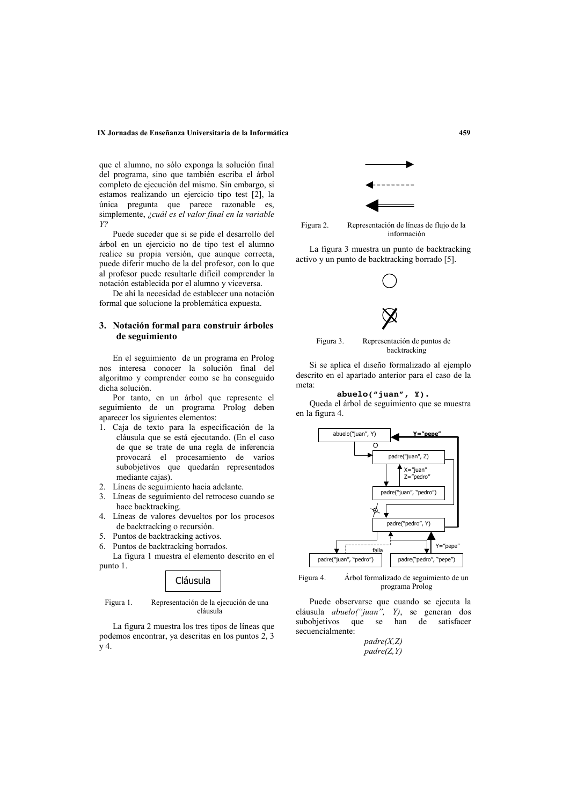#### IX Jornadas de Enseñanza Universitaria de la Informática

que el alumno, no sólo exponga la solución final del programa, sino que también escriba el árbol completo de ejecución del mismo. Sin embargo, si estamos realizando un ejercicio tipo test [2], la única pregunta que parece razonable es, simplemente, ¿cuál es el valor final en la variable  $Y<sup>2</sup>$ 

Puede suceder que si se pide el desarrollo del árbol en un ejercicio no de tipo test el alumno realice su propia versión, que aunque correcta, puede diferir mucho de la del profesor, con lo que al profesor puede resultarle difícil comprender la notación establecida por el alumno y viceversa.

De ahí la necesidad de establecer una notación formal que solucione la problemática expuesta.

# 3. Notación formal para construir árboles de seguimiento

En el seguimiento de un programa en Prolog nos interesa conocer la solución final del algoritmo y comprender como se ha conseguido dicha solución.

Por tanto, en un árbol que represente el seguimiento de un programa Prolog deben aparecer los siguientes elementos:

- 1. Caja de texto para la especificación de la cláusula que se está ejecutando. (En el caso de que se trate de una regla de inferencia provocará el procesamiento de varios subobjetivos que quedarán representados mediante cajas).
- 2. Líneas de seguimiento hacia adelante.
- 3. Líneas de seguimiento del retroceso cuando se hace backtracking.
- 4. Líneas de valores devueltos por los procesos de backtracking o recursión.
- 5. Puntos de backtracking activos.
- 6. Puntos de backtracking borrados.

La figura 1 muestra el elemento descrito en el punto 1.



Figura 1. Representación de la ejecución de una cláusula

La figura 2 muestra los tres tipos de líneas que podemos encontrar, ya descritas en los puntos 2, 3  $\overline{v}$  4.



Figura 2. Representación de líneas de flujo de la información

La figura 3 muestra un punto de backtracking activo y un punto de backtracking borrado [5].



Si se aplica el diseño formalizado al ejemplo descrito en el apartado anterior para el caso de la meta<sup>-</sup>



Queda el árbol de seguimiento que se muestra en la figura 4.



Figura 4. Árbol formalizado de seguimiento de un programa Prolog

Puede observarse que cuando se ejecuta la cláusula abuelo("juan", Y), se generan dos subobjetivos que se han de satisfacer secuencialmente:

> $padre(X,Z)$  $padre(Z, Y)$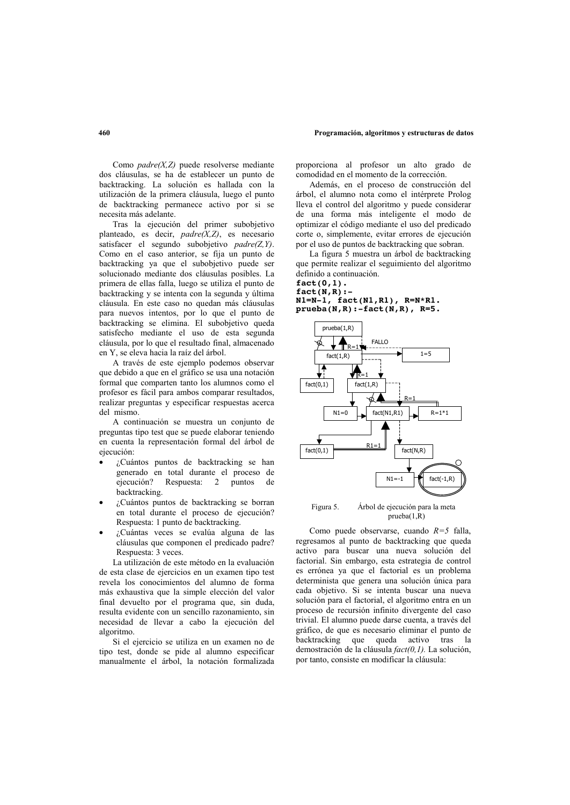Como  $padre(X,Z)$  puede resolverse mediante dos cláusulas, se ha de establecer un punto de backtracking. La solución es hallada con la utilización de la primera cláusula, luego el punto de backtracking permanece activo por si se necesita más adelante.

Tras la ejecución del primer subobjetivo planteado, es decir,  $padre(X,Z)$ , es necesario satisfacer el segundo subobietivo padre( $Z, Y$ ). Como en el caso anterior, se fija un punto de backtracking ya que el subobjetivo puede ser solucionado mediante dos cláusulas posibles. La primera de ellas falla, luego se utiliza el punto de backtracking y se intenta con la segunda y última cláusula. En este caso no quedan más cláusulas para nuevos intentos, por lo que el punto de backtracking se elimina. El subobjetivo queda satisfecho mediante el uso de esta segunda cláusula, por lo que el resultado final, almacenado en Y, se eleva hacia la raíz del árbol.

A través de este ejemplo podemos observar que debido a que en el gráfico se usa una notación formal que comparten tanto los alumnos como el profesor es fácil para ambos comparar resultados, realizar preguntas y especificar respuestas acerca del mismo

A continuación se muestra un conjunto de preguntas tipo test que se puede elaborar teniendo en cuenta la representación formal del árbol de ejecución:

- ¿Cuántos puntos de backtracking se han  $\bullet$ generado en total durante el proceso de  $e^{\frac{1}{2}}$  ejecución? Respuesta: 2 puntos de hacktracking
- ¿Cuántos puntos de backtracking se borran en total durante el proceso de ejecución? Respuesta: 1 punto de backtracking.
- ¿Cuántas veces se evalúa alguna de las cláusulas que componen el predicado padre? Respuesta: 3 veces.

La utilización de este método en la evaluación de esta clase de ejercicios en un examen tipo test revela los conocimientos del alumno de forma más exhaustiva que la simple elección del valor final devuelto por el programa que, sin duda, resulta evidente con un sencillo razonamiento, sin necesidad de llevar a cabo la ejecución del algoritmo

Si el ejercicio se utiliza en un examen no de tipo test, donde se pide al alumno especificar manualmente el árbol, la notación formalizada

proporciona al profesor un alto grado de comodidad en el momento de la corrección.

Además, en el proceso de construcción del árbol, el alumno nota como el intérprete Prolog lleva el control del algoritmo y puede considerar de una forma más inteligente el modo de optimizar el código mediante el uso del predicado corte o simplemente evitar errores de ejecución por el uso de puntos de backtracking que sobran.

La figura 5 muestra un árbol de backtracking que permite realizar el seguimiento del algoritmo definido a continuación.

#### $fact(0,1)$ .  $fact(N,R):$  $N1=N-1$ ,  $fact(N1, R1)$ ,  $R=N*R1$ .  $prueba(N,R):$ -fact $(N,R)$ , R=5.



 $prueba(1,R)$ 

Como puede observarse, cuando  $R=5$  falla, regresamos al punto de backtracking que queda activo para buscar una nueva solución del factorial. Sin embargo, esta estrategia de control es errónea ya que el factorial es un problema determinista que genera una solución única para cada objetivo. Si se intenta buscar una nueva solución para el factorial, el algoritmo entra en un proceso de recursión infinito divergente del caso trivial. El alumno puede darse cuenta, a través del gráfico, de que es necesario eliminar el punto de backtracking que queda activo tras la demostración de la cláusula  $fact(0,1)$ . La solución. por tanto, consiste en modificar la cláusula:

## 460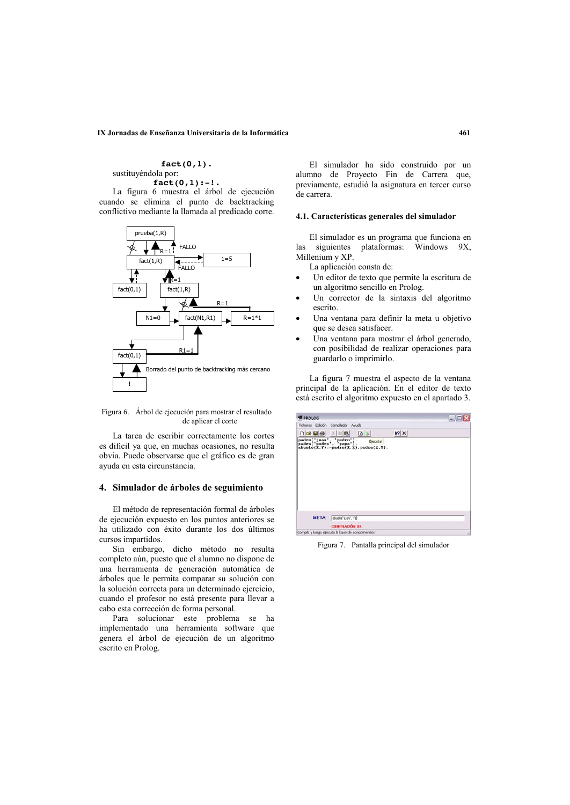#### IX Jornadas de Enseñanza Universitaria de la Informática

## $fact(0,1)$ . sustituyéndola por:

 $fact(0,1): -!$ .

La figura 6 muestra el árbol de ejecución cuando se elimina el punto de backtracking conflictivo mediante la llamada al predicado corte.



Figura 6. Árbol de ejecución para mostrar el resultado de aplicar el corte

La tarea de escribir correctamente los cortes es difícil va que, en muchas ocasiones, no resulta obvia. Puede observarse que el gráfico es de gran ayuda en esta circunstancia.

## 4. Simulador de árboles de seguimiento

El método de representación formal de árboles de ejecución expuesto en los puntos anteriores se ha utilizado con éxito durante los dos últimos cursos impartidos.

Sin embargo, dicho método no resulta completo aún, puesto que el alumno no dispone de una herramienta de generación automática de árboles que le permita comparar su solución con la solución correcta para un determinado ejercicio, cuando el profesor no está presente para llevar a cabo esta corrección de forma personal.

Para solucionar este problema se ha implementado una herramienta software que genera el árbol de ejecución de un algoritmo escrito en Prolog.

El simulador ha sido construido por un alumno de Proyecto Fin de Carrera que, previamente, estudió la asignatura en tercer curso de carrera

## 4.1. Características generales del simulador

El simulador es un programa que funciona en  $1a<sub>s</sub>$ siguientes plataformas: Windows 9X. Millenium y XP.

La aplicación consta de:

- Un editor de texto que permite la escritura de un algoritmo sencillo en Prolog.
- Un corrector de la sintaxis del algoritmo escrito.
- Una ventana para definir la meta u objetivo que se desea satisfacer.
- Una ventana para mostrar el árbol generado. con posibilidad de realizar operaciones para guardarlo o imprimirlo.

La figura 7 muestra el aspecto de la ventana principal de la aplicación. En el editor de texto está escrito el algoritmo expuesto en el apartado 3.

| <b>PROLOG</b> |                                                                                                             |             | $-1$ $\Box$ |
|---------------|-------------------------------------------------------------------------------------------------------------|-------------|-------------|
|               | Ficheros Edición Compilador Avuda                                                                           |             |             |
| DGGG XDG      | $\Delta$                                                                                                    | $ 2 \times$ |             |
|               | padre('juan', 'pedro'). Ejecutar<br>padre('pedro', 'pepe'). Ejecutar<br>abuelo(X.Y):-padre(X.Z).padre(Z.Y). |             |             |
| <b>META:</b>  | abuelo("juan", Y)]                                                                                          |             |             |
|               | <b>COMPILACIÓN OK</b>                                                                                       |             |             |
|               | Compla y lungo ejecuta la base de conocimentos                                                              |             |             |

Figura 7. Pantalla principal del simulador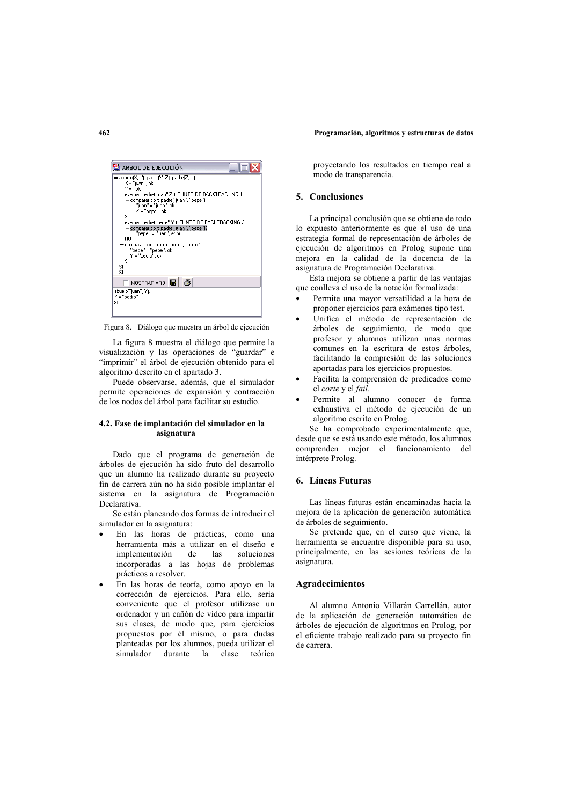#### Programación, algoritmos y estructuras de datos



Figura 8. Diálogo que muestra un árbol de ejecución

La figura 8 muestra el diálogo que permite la visualización y las operaciones de "guardar" e "imprimir" el árbol de ejecución obtenido para el algoritmo descrito en el apartado 3.

Puede observarse, además, que el simulador permite operaciones de expansión y contracción de los nodos del árbol para facilitar su estudio.

## 4.2. Fase de implantación del simulador en la asionatura

Dado que el programa de generación de árboles de ejecución ha sido fruto del desarrollo que un alumno ha realizado durante su proyecto fin de carrera aún no ha sido posible implantar el sistema en la asignatura de Programación Declarativa.

Se están planeando dos formas de introducir el simulador en la asignatura:

- En las horas de prácticas, como una herramienta más a utilizar en el diseño e implementación soluciones de las incorporadas a las hojas de problemas prácticos a resolver.
- En las horas de teoría, como apoyo en la corrección de ejercicios. Para ello, sería conveniente que el profesor utilizase un ordenador y un cañón de vídeo para impartir sus clases, de modo que, para ejercicios propuestos por él mismo, o para dudas planteadas por los alumnos, pueda utilizar el simulador durante la elase teórica

proyectando los resultados en tiempo real a modo de transparencia.

# 5. Conclusiones

La principal conclusión que se obtiene de todo lo expuesto anteriormente es que el uso de una estrategia formal de representación de árboles de ejecución de algoritmos en Prolog supone una mejora en la calidad de la docencia de la asignatura de Programación Declarativa.

Esta mejora se obtiene a partir de las ventajas que conlleva el uso de la notación formalizada:

- Permite una mayor versatilidad a la hora de proponer ejercicios para exámenes tipo test.
- Unifica el método de representación de árboles de seguimiento, de modo que profesor y alumnos utilizan unas normas comunes en la escritura de estos árboles, facilitando la compresión de las soluciones aportadas para los ejercicios propuestos.
- Facilita la comprensión de predicados como el corte y el fail.
- Permite al alumno conocer de forma exhaustiva el método de ejecución de un algoritmo escrito en Prolog.

Se ha comprobado experimentalmente que, desde que se está usando este método, los alumnos comprenden mejor el funcionamiento  $de1$ intérprete Prolog.

# 6. Líneas Futuras

Las líneas futuras están encaminadas hacia la mejora de la aplicación de generación automática de árboles de seguimiento.

Se pretende que, en el curso que viene, la herramienta se encuentre disponible para su uso, principalmente, en las sesiones teóricas de la asignatura.

## **Agradecimientos**

Al alumno Antonio Villarán Carrellán, autor de la aplicación de generación automática de árboles de ejecución de algoritmos en Prolog, por el eficiente trabajo realizado para su proyecto fin de carrera

#### $462$